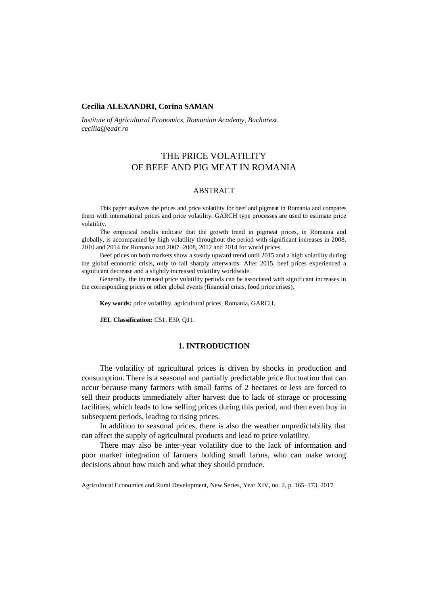### **Cecilia ALEXANDRI, Corina SAMAN**

*Institute of Agricultural Economics, Romanian Academy, Bucharest cecilia@eadr.ro*

# THE PRICE VOLATILITY OF BEEF AND PIG MEAT IN ROMANIA

### ABSTRACT

This paper analyzes the prices and price volatility for beef and pigmeat in Romania and compares them with international prices and price volatility. GARCH type processes are used to estimate price volatility.

The empirical results indicate that the growth trend in pigmeat prices, in Romania and globally, is accompanied by high volatility throughout the period with significant increases in 2008, 2010 and 2014 for Romania and 2007–2008, 2012 and 2014 for world prices.

Beef prices on both markets show a steady upward trend until 2015 and a high volatility during the global economic crisis, only to fall sharply afterwards. After 2015, beef prices experienced a significant decrease and a slightly increased volatility worldwide.

Generally, the increased price volatility periods can be associated with significant increases in the corresponding prices or other global events (financial crisis, food price crises).

**Key words:** price volatility, agricultural prices, Romania, GARCH.

**JEL Classification:** C51, E30, Q11.

### **1. INTRODUCTION**

The volatility of agricultural prices is driven by shocks in production and consumption. There is a seasonal and partially predictable price fluctuation that can occur because many farmers with small farms of 2 hectares or less are forced to sell their products immediately after harvest due to lack of storage or processing facilities, which leads to low selling prices during this period, and then even buy in subsequent periods, leading to rising prices.

In addition to seasonal prices, there is also the weather unpredictability that can affect the supply of agricultural products and lead to price volatility.

There may also be inter-year volatility due to the lack of information and poor market integration of farmers holding small farms, who can make wrong decisions about how much and what they should produce.

Agricultural Economics and Rural Development, New Series, Year XIV, no. 2, p. 165–173, 2017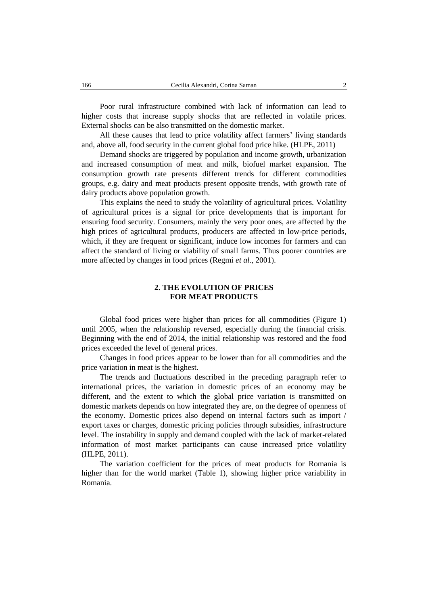Poor rural infrastructure combined with lack of information can lead to higher costs that increase supply shocks that are reflected in volatile prices. External shocks can be also transmitted on the domestic market.

All these causes that lead to price volatility affect farmers' living standards and, above all, food security in the current global food price hike. (HLPE, 2011)

Demand shocks are triggered by population and income growth, urbanization and increased consumption of meat and milk, biofuel market expansion. The consumption growth rate presents different trends for different commodities groups, e.g. dairy and meat products present opposite trends, with growth rate of dairy products above population growth.

This explains the need to study the volatility of agricultural prices. Volatility of agricultural prices is a signal for price developments that is important for ensuring food security. Consumers, mainly the very poor ones, are affected by the high prices of agricultural products, producers are affected in low-price periods, which, if they are frequent or significant, induce low incomes for farmers and can affect the standard of living or viability of small farms. Thus poorer countries are more affected by changes in food prices (Regmi *et al*., 2001).

## **2. THE EVOLUTION OF PRICES FOR MEAT PRODUCTS**

Global food prices were higher than prices for all commodities (Figure 1) until 2005, when the relationship reversed, especially during the financial crisis. Beginning with the end of 2014, the initial relationship was restored and the food prices exceeded the level of general prices.

Changes in food prices appear to be lower than for all commodities and the price variation in meat is the highest.

The trends and fluctuations described in the preceding paragraph refer to international prices, the variation in domestic prices of an economy may be different, and the extent to which the global price variation is transmitted on domestic markets depends on how integrated they are, on the degree of openness of the economy. Domestic prices also depend on internal factors such as import / export taxes or charges, domestic pricing policies through subsidies, infrastructure level. The instability in supply and demand coupled with the lack of market-related information of most market participants can cause increased price volatility (HLPE, 2011).

The variation coefficient for the prices of meat products for Romania is higher than for the world market (Table 1), showing higher price variability in Romania.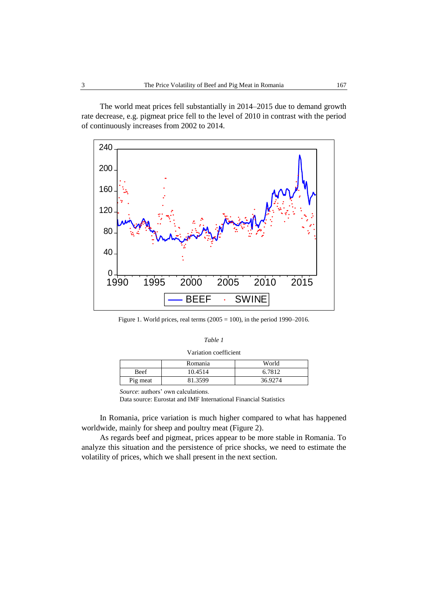The world meat prices fell substantially in 2014–2015 due to demand growth rate decrease, e.g. pigmeat price fell to the level of 2010 in contrast with the period of continuously increases from 2002 to 2014.



Figure 1. World prices, real terms  $(2005 = 100)$ , in the period 1990–2016.

#### *Table 1*

| Variation coefficient |  |
|-----------------------|--|
|-----------------------|--|

|             | Romania | World   |
|-------------|---------|---------|
| <b>Beef</b> | 10.4514 | 6.7812  |
| Pig meat    | 81.3599 | 36.9274 |

*Source*: authors' own calculations.

Data source: Eurostat and IMF International Financial Statistics

In Romania, price variation is much higher compared to what has happened worldwide, mainly for sheep and poultry meat (Figure 2).

As regards beef and pigmeat, prices appear to be more stable in Romania. To analyze this situation and the persistence of price shocks, we need to estimate the volatility of prices, which we shall present in the next section.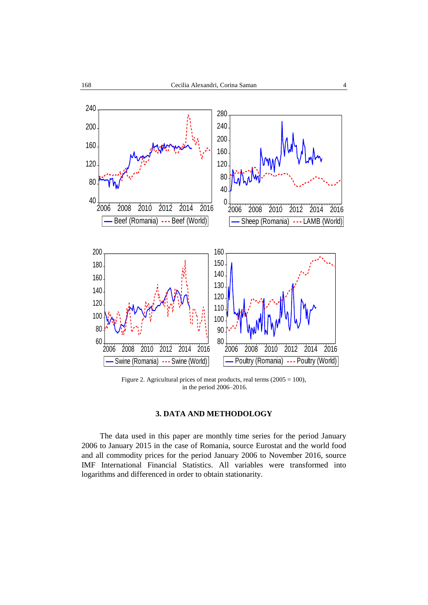

Figure 2. Agricultural prices of meat products, real terms (2005 = 100), in the period 2006–2016.

## **3. DATA AND METHODOLOGY**

The data used in this paper are monthly time series for the period January 2006 to January 2015 in the case of Romania, source Eurostat and the world food and all commodity prices for the period January 2006 to November 2016, source IMF International Financial Statistics. All variables were transformed into logarithms and differenced in order to obtain stationarity.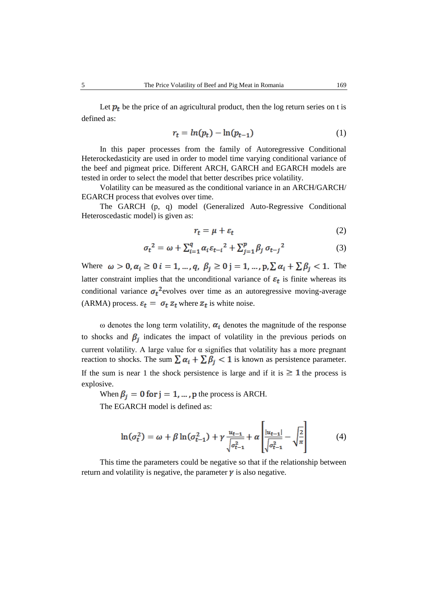Let  $p_t$  be the price of an agricultural product, then the log return series on t is defined as:

$$
r_t = \ln(p_t) - \ln(p_{t-1})\tag{1}
$$

In this paper processes from the family of Autoregressive Conditional Heterockedasticity are used in order to model time varying conditional variance of the beef and pigmeat price. Different ARCH, GARCH and EGARCH models are tested in order to select the model that better describes price volatility.

Volatility can be measured as the conditional variance in an ARCH/GARCH/ EGARCH process that evolves over time.

The GARCH (p, q) model (Generalized Auto-Regressive Conditional Heteroscedastic model) is given as:

$$
r_t = \mu + \varepsilon_t \tag{2}
$$

$$
\sigma_t^2 = \omega + \sum_{i=1}^q \alpha_i \varepsilon_{t-i}^2 + \sum_{j=1}^p \beta_j \sigma_{t-j}^2 \tag{3}
$$

Where  $\omega > 0$ ,  $\alpha_i \geq 0$   $i = 1, ..., q$ ,  $\beta_i \geq 0$  j = 1, ..., p,  $\sum \alpha_i + \sum \beta_i < 1$ . The latter constraint implies that the unconditional variance of  $\varepsilon_t$  is finite whereas its conditional variance  $\sigma_t^2$  evolves over time as an autoregressive moving-average (ARMA) process.  $\varepsilon_t = \sigma_t z_t$  where  $z_t$  is white noise.

ω denotes the long term volatility,  $α<sub>i</sub>$  denotes the magnitude of the response to shocks and  $\beta_i$  indicates the impact of volatility in the previous periods on current volatility. A large value for  $\alpha$  signifies that volatility has a more pregnant reaction to shocks. The sum  $\sum \alpha_i + \sum \beta_i < 1$  is known as persistence parameter. If the sum is near 1 the shock persistence is large and if it is  $\geq 1$  the process is explosive.

When  $\beta_i = 0$  for  $j = 1, ..., p$  the process is ARCH.

The EGARCH model is defined as:

$$
\ln(\sigma_t^2) = \omega + \beta \ln(\sigma_{t-1}^2) + \gamma \frac{u_{t-1}}{\sqrt{\sigma_{t-1}^2}} + \alpha \left[ \frac{|u_{t-1}|}{\sqrt{\sigma_{t-1}^2}} - \sqrt{\frac{2}{\pi}} \right] \tag{4}
$$

This time the parameters could be negative so that if the relationship between return and volatility is negative, the parameter  $\gamma$  is also negative.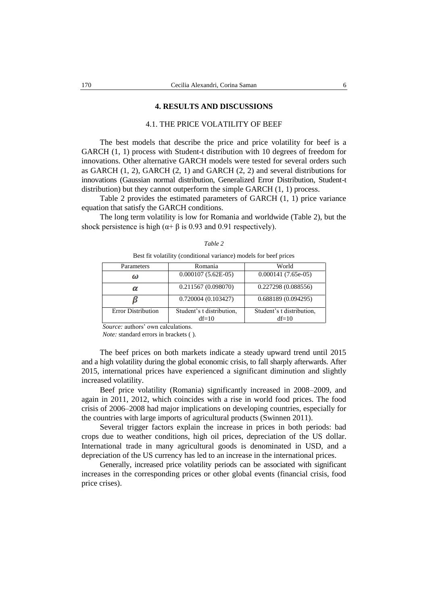#### **4. RESULTS AND DISCUSSIONS**

#### 4.1. THE PRICE VOLATILITY OF BEEF

The best models that describe the price and price volatility for beef is a GARCH (1, 1) process with Student-t distribution with 10 degrees of freedom for innovations. Other alternative GARCH models were tested for several orders such as GARCH (1, 2), GARCH (2, 1) and GARCH (2, 2) and several distributions for innovations (Gaussian normal distribution, Generalized Error Distribution, Student-t distribution) but they cannot outperform the simple GARCH (1, 1) process.

Table 2 provides the estimated parameters of GARCH (1, 1) price variance equation that satisfy the GARCH conditions.

The long term volatility is low for Romania and worldwide (Table 2), but the shock persistence is high ( $\alpha$ + $\beta$  is 0.93 and 0.91 respectively).

#### *Table 2*

Best fit volatility (conditional variance) models for beef prices

| Parameters                | Romania                   | World                     |
|---------------------------|---------------------------|---------------------------|
| ω                         | $0.000107(5.62E-05)$      | $0.000141(7.65e-05)$      |
| α                         | 0.211567(0.098070)        | 0.227298 (0.088556)       |
|                           | 0.720004(0.103427)        | 0.688189(0.094295)        |
| <b>Error Distribution</b> | Student's t distribution, | Student's t distribution, |
|                           | $df=10$                   | $df=10$                   |

*Source:* authors' own calculations.

*Note:* standard errors in brackets ( ).

The beef prices on both markets indicate a steady upward trend until 2015 and a high volatility during the global economic crisis, to fall sharply afterwards. After 2015, international prices have experienced a significant diminution and slightly increased volatility.

Beef price volatility (Romania) significantly increased in 2008–2009, and again in 2011, 2012, which coincides with a rise in world food prices. The food crisis of 2006–2008 had major implications on developing countries, especially for the countries with large imports of agricultural products (Swinnen 2011).

Several trigger factors explain the increase in prices in both periods: bad crops due to weather conditions, high oil prices, depreciation of the US dollar. International trade in many agricultural goods is denominated in USD, and a depreciation of the US currency has led to an increase in the international prices.

Generally, increased price volatility periods can be associated with significant increases in the corresponding prices or other global events (financial crisis, food price crises).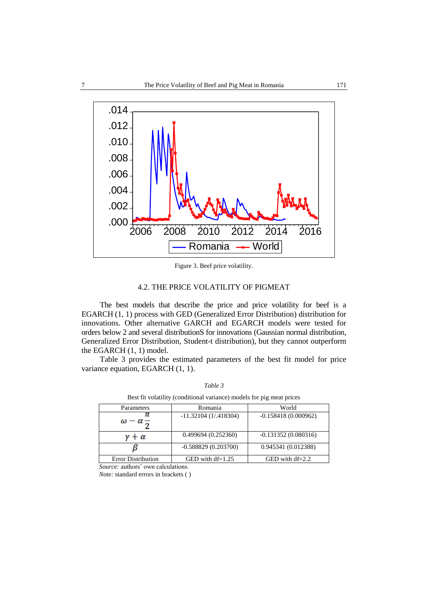

Figure 3. Beef price volatility.

## 4.2. THE PRICE VOLATILITY OF PIGMEAT

The best models that describe the price and price volatility for beef is a EGARCH (1, 1) process with GED (Generalized Error Distribution) distribution for innovations. Other alternative GARCH and EGARCH models were tested for orders below 2 and several distributionS for innovations (Gaussian normal distribution, Generalized Error Distribution, Student-t distribution), but they cannot outperform the EGARCH (1, 1) model.

Table 3 provides the estimated parameters of the best fit model for price variance equation, EGARCH (1, 1).

*Table 3*

| Best fit volatility (conditional variance) models for pig meat prices |                         |                       |  |  |
|-----------------------------------------------------------------------|-------------------------|-----------------------|--|--|
| Parameters                                                            | Romania                 | World                 |  |  |
| $\omega - \alpha_{\overline{2}}$                                      | $-11.32104(1/0.418304)$ | $-0.158418(0.000962)$ |  |  |
| $\gamma + \alpha$                                                     | 0.499694(0.252360)      | $-0.131352(0.080316)$ |  |  |
|                                                                       | $-0.588829(0.203700)$   | 0.945341 (0.012388)   |  |  |
| <b>Error Distribution</b>                                             | GED with $df=1.25$      | GED with $df=2.2$     |  |  |

*Source:* authors' own calculations. *Note:* standard errors in brackets ( )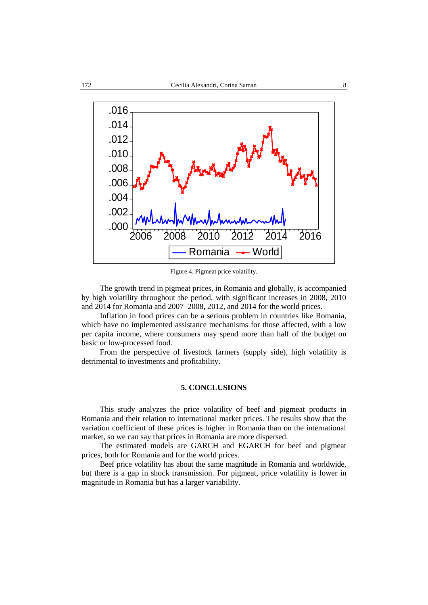

Figure 4. Pigmeat price volatility.

The growth trend in pigmeat prices, in Romania and globally, is accompanied by high volatility throughout the period, with significant increases in 2008, 2010 and 2014 for Romania and 2007–2008, 2012, and 2014 for the world prices.

Inflation in food prices can be a serious problem in countries like Romania, which have no implemented assistance mechanisms for those affected, with a low per capita income, where consumers may spend more than half of the budget on basic or low-processed food.

From the perspective of livestock farmers (supply side), high volatility is detrimental to investments and profitability.

### **5. CONCLUSIONS**

This study analyzes the price volatility of beef and pigmeat products in Romania and their relation to international market prices. The results show that the variation coefficient of these prices is higher in Romania than on the international market, so we can say that prices in Romania are more dispersed.

The estimated models are GARCH and EGARCH for beef and pigmeat prices, both for Romania and for the world prices.

Beef price volatility has about the same magnitude in Romania and worldwide, but there is a gap in shock transmission. For pigmeat, price volatility is lower in magnitude in Romania but has a larger variability.